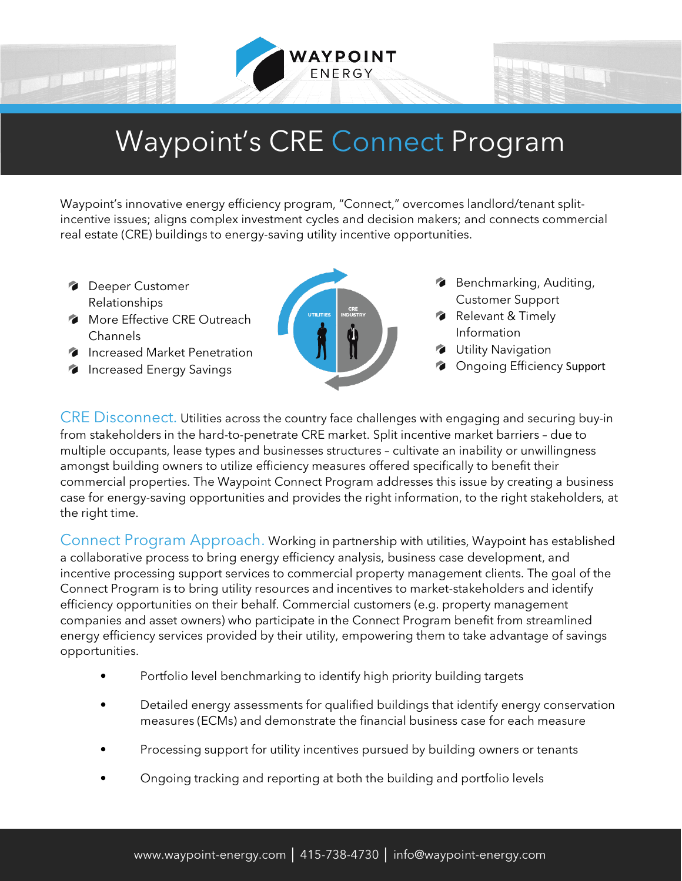

## Waypoint's CRE Connect Program

Waypoint's innovative energy efficiency program, "Connect," overcomes landlord/tenant splitincentive issues; aligns complex investment cycles and decision makers; and connects commercial real estate (CRE) buildings to energy-saving utility incentive opportunities.

- **Deeper Customer** Relationships
- **More Effective CRE Outreach** Channels
- **Increased Market Penetration**
- **Increased Energy Savings**



- **Benchmarking, Auditing,** Customer Support
- Relevant & Timely Information
- **Utility Navigation**
- **Congoing Efficiency Support**

CRE Disconnect. Utilities across the country face challenges with engaging and securing buy-in from stakeholders in the hard-to-penetrate CRE market. Split incentive market barriers – due to multiple occupants, lease types and businesses structures – cultivate an inability or unwillingness amongst building owners to utilize efficiency measures offered specifically to benefit their commercial properties. The Waypoint Connect Program addresses this issue by creating a business case for energy-saving opportunities and provides the right information, to the right stakeholders, at the right time.

Connect Program Approach. Working in partnership with utilities, Waypoint has established a collaborative process to bring energy efficiency analysis, business case development, and incentive processing support services to commercial property management clients. The goal of the Connect Program is to bring utility resources and incentives to market-stakeholders and identify efficiency opportunities on their behalf. Commercial customers (e.g. property management companies and asset owners) who participate in the Connect Program benefit from streamlined energy efficiency services provided by their utility, empowering them to take advantage of savings opportunities.

- Portfolio level benchmarking to identify high priority building targets
- Detailed energy assessments for qualified buildings that identify energy conservation measures (ECMs) and demonstrate the financial business case for each measure
- Processing support for utility incentives pursued by building owners or tenants
- Ongoing tracking and reporting at both the building and portfolio levels